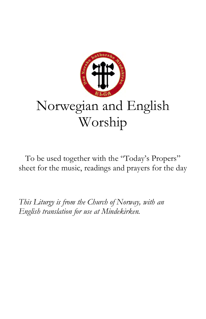

To be used together with the "Today's Propers" sheet for the music, readings and prayers for the day

*This Liturgy is from the Church of Norway, with an English translation for use at Mindekirken.*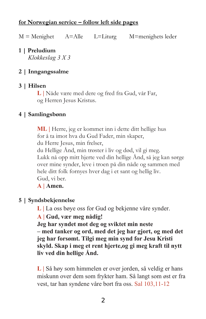### **for Norwegian service – follow left side pages**

 $M =$ Menighet  $A =$ Alle L=Liturg  $M =$ menighets leder

**1 | Preludium**  *Klokkeslag 3 X 3*

## **2 | Inngangssalme**

### **3 | Hilsen**

**L |** Nåde være med dere og fred fra Gud, vår Far, og Herren Jesus Kristus.

### **4 | Samlingsbønn**

**ML |** Herre, jeg er kommet inn i dette ditt hellige hus for å ta imot hva du Gud Fader, min skaper, du Herre Jesus, min frelser, du Hellige Ånd, min trøster i liv og død, vil gi meg. Lukk nå opp mitt hjerte ved din hellige Ånd, så jeg kan sørge over mine synder, leve i troen på din nåde og sammen med hele ditt folk fornyes hver dag i et sant og hellig liv. Gud, vi ber. **A | Amen.**

# **5 | Syndsbekjennelse**

**L |** La oss bøye oss for Gud og bekjenne våre synder.

### **A | Gud, vær meg nådig!**

**Jeg har syndet mot deg og sviktet min neste – med tanker og ord, med det jeg har gjort, og med det jeg har forsømt. Tilgi meg min synd for Jesu Kristi skyld. Skap i meg et rent hjerte,og gi meg kraft til nytt liv ved din hellige Ånd.**

**L |** Så høy som himmelen er over jorden, så veldig er hans miskunn over dem som frykter ham. Så langt som øst er fra vest, tar han syndene våre bort fra oss. Sal 103,11-12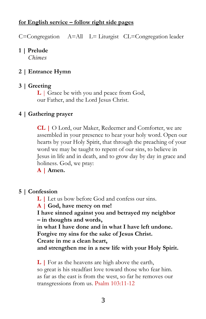### **for English service – follow right side pages**

C=Congregation A=All L= Liturgist CL=Congregation leader

## **1 | Prelude**

 *Chimes*

## **2 | Entrance Hymn**

## **3 | Greeting**

**L** | Grace be with you and peace from God, our Father, and the Lord Jesus Christ.

## **4 | Gathering prayer**

**CL |** O Lord, our Maker, Redeemer and Comforter, we are assembled in your presence to hear your holy word. Open our hearts by your Holy Spirit, that through the preaching of your word we may be taught to repent of our sins, to believe in Jesus in life and in death, and to grow day by day in grace and holiness. God, we pray:

**A | Amen.**

### **5 | Confession**

**L |** Let us bow before God and confess our sins.

**A | God, have mercy on me!** 

**I have sinned against you and betrayed my neighbor – in thoughts and words,** 

**in what I have done and in what I have left undone. Forgive my sins for the sake of Jesus Christ.** 

**Create in me a clean heart,** 

**and strengthen me in a new life with your Holy Spirit.**

**L** | For as the heavens are high above the earth, so great is his steadfast love toward those who fear him. as far as the east is from the west, so far he removes our transgressions from us. Psalm 103:11-12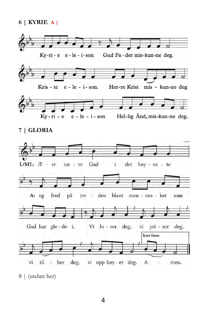**6 | KYRIE A |**



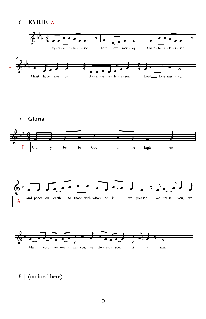





**7 | Gloria**

|<br>|<br>|







8 | (omitted here)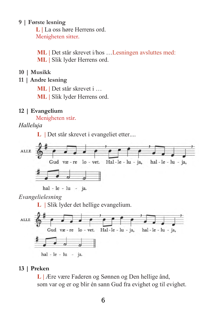#### **9 | Første lesning**

 **L** *|* La oss høre Herrens ord. Menigheten sitter.

**ML** | Det står skrevet i/hos ... Lesningen avsluttes med: **ML |** Slik lyder Herrens ord.

**10 | Musikk**

## **11 | Andre lesning**

**ML |** Det står skrevet i …

**ML |** Slik lyder Herrens ord.

### **12 | Evangelium**

Menigheten står.

*Halleluja*

**L |** Det står skrevet i evangeliet etter....



hal - le - lu - ja.

#### *Evangelielesning*

**L |** Slik lyder det hellige evangelium.



### **13 | Preken**

**L |** Ære være Faderen og Sønnen og Den hellige ånd, som var og er og blir én sann Gud fra evighet og til evighet.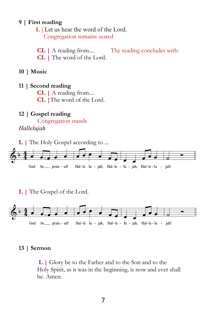### **9 | First reading**

 **L |** Let us hear the word of the Lord. Congregation remains seated

**CL |** A reading from.... The reading concludes with: **CL |** The word of the Lord.

- **10 | Music**
- **11 | Second reading**

**CL |** A reading from....

**CL |**The word of the Lord.

### **12 | Gospel reading**

 Congregation stands *Hallelujah*

**L** | The Holy Gospel according to ...



**L |** The Gospel of the Lord.



#### **13 | Sermon**

**L |** Glory be to the Father and to the Son and to the Holy Spirit, as it was in the beginning, is now and ever shall be. Amen.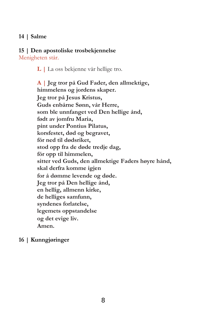## **14 | Salme**

### **15 | Den apostoliske trosbekjennelse**

Menigheten står.

**L |** La oss bekjenne vår hellige tro.

**A | Jeg tror på Gud Fader, den allmektige, himmelens og jordens skaper. Jeg tror på Jesus Kristus, Guds enbårne Sønn, vår Herre, som ble unnfanget ved Den hellige ånd, født av jomfru Maria, pint under Pontius Pilatus, korsfestet, død og begravet, fór ned til dødsriket, stod opp fra de døde tredje dag, fór opp til himmelen, sitter ved Guds, den allmektige Faders høyre hånd, skal derfra komme igjen for å dømme levende og døde. Jeg tror på Den hellige ånd, en hellig, allmenn kirke, de helliges samfunn, syndenes forlatelse, legemets oppstandelse og det evige liv. Amen.** 

## **16 | Kunngjøringer**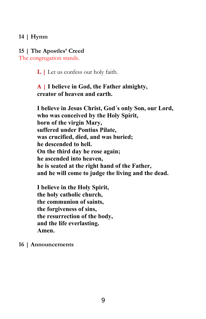## **14 | Hymn**

#### **15 | The Apostles' Creed**

The congregation stands.

**L |** Let us confess our holy faith.

**A | I believe in God, the Father almighty, creator of heaven and earth.**

**I believe in Jesus Christ, God´s only Son, our Lord, who was conceived by the Holy Spirit, born of the virgin Mary, suffered under Pontius Pilate, was crucified, died, and was buried; he descended to hell. On the third day he rose again; he ascended into heaven, he is seated at the right hand of the Father, and he will come to judge the living and the dead.**

**I believe in the Holy Spirit, the holy catholic church, the communion of saints, the forgiveness of sins, the resurrection of the body, and the life everlasting. Amen.**

#### **16 | Announcements**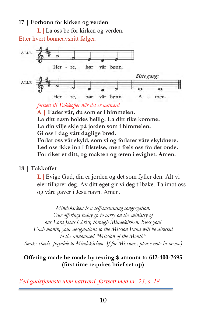## **17 | Forbønn for kirken og verden**

**L |** La oss be for kirken og verden.

Etter hvert bønneavsnitt følger:



*fortsett til Takkoffer når det er nattverd* **A | Fader vår, du som er i himmelen. La ditt navn holdes hellig. La ditt rike komme. La din vilje skje på jorden som i himmelen. Gi oss i dag vårt daglige brød. Forlat oss vår skyld, som vi og forlater våre skyldnere. Led oss ikke inn i fristelse, men frels oss fra det onde.**

**For riket er ditt, og makten og æren i evighet. Amen.**

## **18 | Takkoffer**

**L |** Evige Gud, din er jorden og det som fyller den. Alt vi eier tilhører deg. Av ditt eget gir vi deg tilbake. Ta imot oss og våre gaver i Jesu navn. Amen.

*Mindekirken is a self-sustaining congregation. Our offerings today go to carry on the ministry of our Lord Jesus Christ, through Mindekirken. Bless you! Each month, your designations to the Mission Fund will be directed to the announced "Mission of the Month" (make checks payable to Mindekirken. If for Missions, please note in memo)*

## **Offering made be made by texting \$ amount to 612-400-7695 (first time requires brief set up)**

*Ved gudstjeneste uten nattverd, fortsett med nr. 23, s. 18*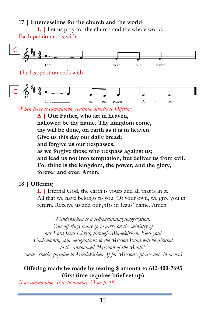## **17 | Intercessions for the church and the world**

**L |** Let us pray for the church and the whole world. Each petition ends with



*When there is communion, continue directly to Offering*

**A | Our Father, who art in heaven, hallowed be thy name. Thy kingdom come, thy will be done, on earth as it is in heaven. Give us this day our daily bread; and forgive us our trespasses, as we forgive those who trespass against us; and lead us not into temptation, but deliver us from evil. For thine is the kingdom, the power, and the glory, forever and ever. Amen.** 

## **18 | Offering**

**L |** Eternal God, the earth is yours and all that is in it. All that we have belongs to you. Of your own, we give you in return. Receive us and our gifts in Jesus' name. Amen.

*Mindekirken is a self-sustaining congregation. Our offerings today go to carry on the ministry of our Lord Jesus Christ, through Mindekirken. Bless you! Each month, your designations to the Mission Fund will be directed to the announced "Mission of the Month" (make checks payable to Mindekirken. If for Missions, please note in memo)*

## **Offering made be made by texting \$ amount to 612-400-7695 (first time requires brief set up)**

*If no communion, skip to number 23 on p. 19*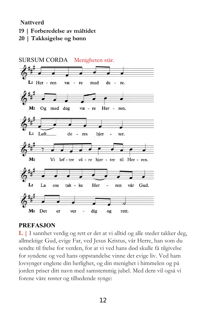**Nattverd**

- **19 | Forberedelse av måltidet**
- **20 | Takksigelse og bønn**



## **PREFASJON**

**L |** I sannhet verdig og rett er det at vi alltid og alle steder takker deg, allmektige Gud, evige Far, ved Jesus Kristus, vår Herre, han som du sendte til frelse for verden, for at vi ved hans død skulle få tilgivelse for syndene og ved hans oppstandelse vinne det evige liv. Ved ham lovsynger englene din herlighet, og din menighet i himmelen og på jorden priser ditt navn med samstemmig jubel. Med dem vil også vi forene våre røster og tilbedende synge: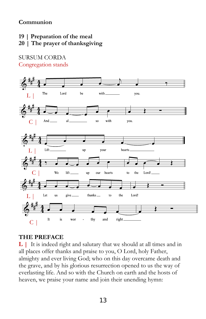**Communion**

**19 | Preparation of the meal**

## **20 | The prayer of thanksgiving**

#### SURSUM CORDA Congregation stands



## **THE PREFACE**

**L |** It is indeed right and salutary that we should at all times and in all places offer thanks and praise to you, O Lord, holy Father, almighty and ever living God; who on this day overcame death and the grave, and by his glorious resurrection opened to us the way of everlasting life. And so with the Church on earth and the hosts of heaven, we praise your name and join their unending hymn: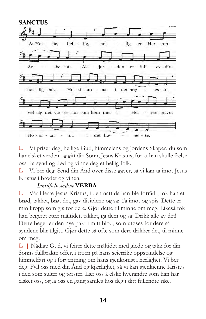

**L |** Vi priser deg, hellige Gud, himmelens og jordens Skaper, du som har elsket verden og gitt din Sønn, Jesus Kristus, for at han skulle frelse oss fra synd og død og vinne deg et hellig folk.

**L |** Vi ber deg: Send din Ånd over disse gaver, så vi kan ta imot Jesus Kristus i brødet og vinen.

## *Innstiftelsesordene* **VERBA**

**L |** Vår Herre Jesus Kristus, i den natt da han ble forrådt, tok han et brød, takket, brøt det, gav disiplene og sa: Ta imot og spis! Dette er min kropp som gis for dere. Gjør dette til minne om meg. Likeså tok han begeret etter måltidet, takket, ga dem og sa: Drikk alle av det! Dette beger er den nye pakt i mitt blod, som utøses for dere så syndene blir tilgitt. Gjør dette så ofte som dere drikker det, til minne om meg.

**L |** Nådige Gud, vi feirer dette måltidet med glede og takk for din Sønns fullbrakte offer, i troen på hans seierrike oppstandelse og himmelfart og i forventning om hans gjenkomst i herlighet. Vi ber deg: Fyll oss med din Ånd og kjærlighet, så vi kan gjenkjenne Kristus i den som sulter og tørster. Lær oss å elske hverandre som han har elsket oss, og la oss en gang samles hos deg i ditt fullendte rike.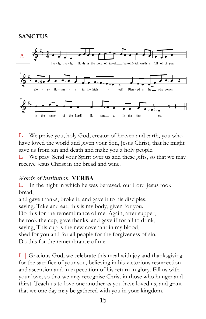## **SANCTUS**



**L |** We praise you, holy God, creator of heaven and earth, you who have loved the world and given your Son, Jesus Christ, that he might save us from sin and death and make you a holy people.

**L |** We pray: Send your Spirit over us and these gifts, so that we may receive Jesus Christ in the bread and wine.

## *Words of Institution* **VERBA**

**L |** In the night in which he was betrayed, our Lord Jesus took bread,

and gave thanks, broke it, and gave it to his disciples, saying: Take and eat; this is my body, given for you. Do this for the remembrance of me. Again, after supper, he took the cup, gave thanks, and gave if for all to drink, saying, This cup is the new covenant in my blood, shed for you and for all people for the forgiveness of sin. Do this for the remembrance of me.

 $L \mid$  Gracious God, we celebrate this meal with joy and thanksgiving for the sacrifice of your son, believing in his victorious resurrection and ascension and in expectation of his return in glory. Fill us with your love, so that we may recognise Christ in those who hunger and thirst. Teach us to love one another as you have loved us, and grant that we one day may be gathered with you in your kingdom.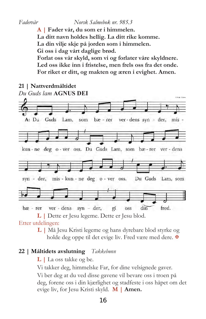*Fadervår Norsk Salmebok nr. 985.3* **A | Fader vår, du som er i himmelen. La ditt navn holdes hellig. La ditt rike komme. La din vilje skje på jorden som i himmelen. Gi oss i dag vårt daglige brød. Forlat oss vår skyld, som vi og forlater våre skyldnere. Led oss ikke inn i fristelse, men frels oss fra det onde. For riket er ditt, og makten og æren i evighet. Amen.**



**L |** Dette er Jesu legeme. Dette er Jesu blod. Etter utdelingen:

> **L |** Må Jesu Kristi legeme og hans dyrebare blod styrke og holde deg oppe til det evige liv. Fred være med dere.  $\mathbf{\Psi}$

## **22 | Måltidets avslutning** *Takkebønn*

**L |** La oss takke og be.

Vi takker deg, himmelske Far, for dine velsignede gaver.

Vi ber deg at du ved disse gavene vil bevare oss i troen på deg, forene oss i din kjærlighet og stadfeste i oss håpet om det evige liv, for Jesu Kristi skyld. **M | Amen.**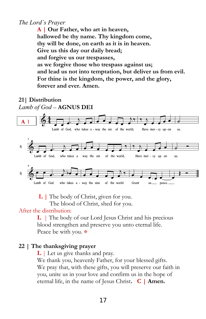## *The Lord´s Prayer*

**A | Our Father, who art in heaven, hallowed be thy name. Thy kingdom come, thy will be done, on earth as it is in heaven. Give us this day our daily bread; and forgive us our trespasses, as we forgive those who trespass against us; and lead us not into temptation, but deliver us from evil. For thine is the kingdom, the power, and the glory, forever and ever. Amen.** 

### **21| Distribution** *Lamb of God* – **AGNUS DEI**



**L |** The body of Christ, given for you.

The blood of Christ, shed for you.

## After the distribution:

**L** | The body of our Lord Jesus Christ and his precious blood strengthen and preserve you unto eternal life. Peace be with you. ₩

## **22 | The thanksgiving prayer**

**L** | Let us give thanks and pray.

We thank you, heavenly Father, for your blessed gifts. We pray that, with these gifts, you will preserve our faith in you, unite us in your love and confirm us in the hope of eternal life, in the name of Jesus Christ**. C | Amen.**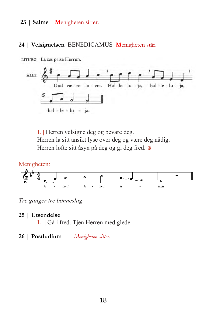### **23 | Salme M**enigheten sitter.

### **24 | Velsignelsen** BENEDICAMUS **M**enigheten står.



LITURG La oss prise Herren.

L | Herren velsigne deg og bevare deg. Herren la sitt ansikt lyse over deg og være deg nådig. Herren løfte sitt åsyn på deg og gi deg fred.



*Tre ganger tre bønneslag*

### **25 | Utsendelse**

**L |** Gå i fred. Tjen Herren med glede.

**26 | Postludium** *Menigheten sitter.*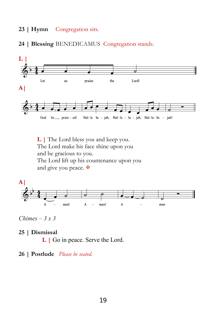#### **23 | Hymn** Congregation sits.

### **24 | Blessing** BENEDICAMUS Congregation stands.



**L |** The Lord bless you and keep you. The Lord make his face shine upon you and be gracious to you. The Lord lift up his countenance upon you and give you peace.



*Chimes – 3 x 3*

#### **25 | Dismissal**

**L** | Go in peace. Serve the Lord.

#### **26 | Postlude** *Please be seated.*